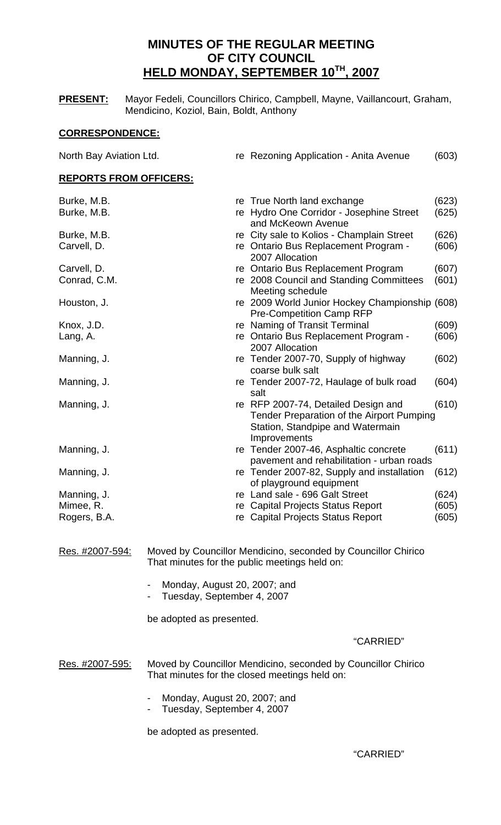# **MINUTES OF THE REGULAR MEETING OF CITY COUNCIL HELD MONDAY, SEPTEMBER 10TH, 2007**

**PRESENT:** Mayor Fedeli, Councillors Chirico, Campbell, Mayne, Vaillancourt, Graham, Mendicino, Koziol, Bain, Boldt, Anthony

# **CORRESPONDENCE:**

| North Bay Aviation Ltd.       |                                               | re Rezoning Application - Anita Avenue                                                                                               | (603) |
|-------------------------------|-----------------------------------------------|--------------------------------------------------------------------------------------------------------------------------------------|-------|
| <b>REPORTS FROM OFFICERS:</b> |                                               |                                                                                                                                      |       |
| Burke, M.B.                   |                                               | re True North land exchange                                                                                                          | (623) |
| Burke, M.B.                   |                                               | re Hydro One Corridor - Josephine Street<br>and McKeown Avenue                                                                       | (625) |
| Burke, M.B.                   |                                               | re City sale to Kolios - Champlain Street                                                                                            | (626) |
| Carvell, D.                   |                                               | re Ontario Bus Replacement Program -<br>2007 Allocation                                                                              | (606) |
| Carvell, D.                   |                                               | re Ontario Bus Replacement Program                                                                                                   | (607) |
| Conrad, C.M.                  |                                               | re 2008 Council and Standing Committees<br>Meeting schedule                                                                          | (601) |
| Houston, J.                   |                                               | re 2009 World Junior Hockey Championship (608)<br><b>Pre-Competition Camp RFP</b>                                                    |       |
| Knox, J.D.                    |                                               | re Naming of Transit Terminal                                                                                                        | (609) |
| Lang, A.                      |                                               | re Ontario Bus Replacement Program -<br>2007 Allocation                                                                              | (606) |
| Manning, J.                   |                                               | re Tender 2007-70, Supply of highway<br>coarse bulk salt                                                                             | (602) |
| Manning, J.                   |                                               | re Tender 2007-72, Haulage of bulk road<br>salt                                                                                      | (604) |
| Manning, J.                   |                                               | re RFP 2007-74, Detailed Design and<br>Tender Preparation of the Airport Pumping<br>Station, Standpipe and Watermain<br>Improvements | (610) |
| Manning, J.                   |                                               | re Tender 2007-46, Asphaltic concrete<br>pavement and rehabilitation - urban roads                                                   | (611) |
| Manning, J.                   |                                               | re Tender 2007-82, Supply and installation<br>of playground equipment                                                                | (612) |
| Manning, J.                   |                                               | re Land sale - 696 Galt Street                                                                                                       | (624) |
| Mimee, R.                     |                                               | re Capital Projects Status Report                                                                                                    | (605) |
| Rogers, B.A.                  |                                               | re Capital Projects Status Report                                                                                                    | (605) |
| Res. #2007-594:               | That minutes for the public meetings held on: | Moved by Councillor Mendicino, seconded by Councillor Chirico                                                                        |       |

- Monday, August 20, 2007; and
- Tuesday, September 4, 2007

be adopted as presented.

"CARRIED"

Res. #2007-595: Moved by Councillor Mendicino, seconded by Councillor Chirico That minutes for the closed meetings held on:

- Monday, August 20, 2007; and
- Tuesday, September 4, 2007

be adopted as presented.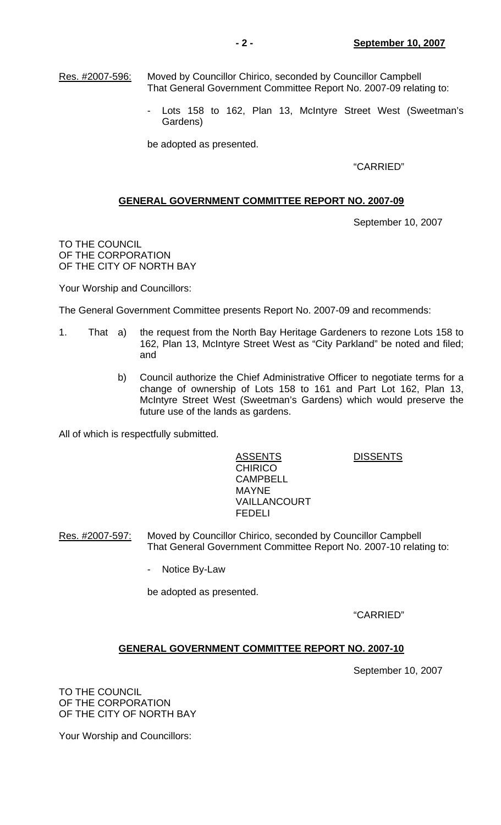Res. #2007-596: Moved by Councillor Chirico, seconded by Councillor Campbell That General Government Committee Report No. 2007-09 relating to:

> - Lots 158 to 162, Plan 13, McIntyre Street West (Sweetman's Gardens)

be adopted as presented.

"CARRIED"

# **GENERAL GOVERNMENT COMMITTEE REPORT NO. 2007-09**

September 10, 2007

TO THE COUNCIL OF THE CORPORATION OF THE CITY OF NORTH BAY

Your Worship and Councillors:

The General Government Committee presents Report No. 2007-09 and recommends:

- 1. That a) the request from the North Bay Heritage Gardeners to rezone Lots 158 to 162, Plan 13, McIntyre Street West as "City Parkland" be noted and filed; and
	- b) Council authorize the Chief Administrative Officer to negotiate terms for a change of ownership of Lots 158 to 161 and Part Lot 162, Plan 13, McIntyre Street West (Sweetman's Gardens) which would preserve the future use of the lands as gardens.

All of which is respectfully submitted.

# ASSENTS DISSENTS

**CHIRICO CAMPBELL**  MAYNE VAILLANCOURT FEDELI

Res. #2007-597: Moved by Councillor Chirico, seconded by Councillor Campbell That General Government Committee Report No. 2007-10 relating to:

- Notice By-Law

be adopted as presented.

"CARRIED"

# **GENERAL GOVERNMENT COMMITTEE REPORT NO. 2007-10**

September 10, 2007

TO THE COUNCIL OF THE CORPORATION OF THE CITY OF NORTH BAY

Your Worship and Councillors: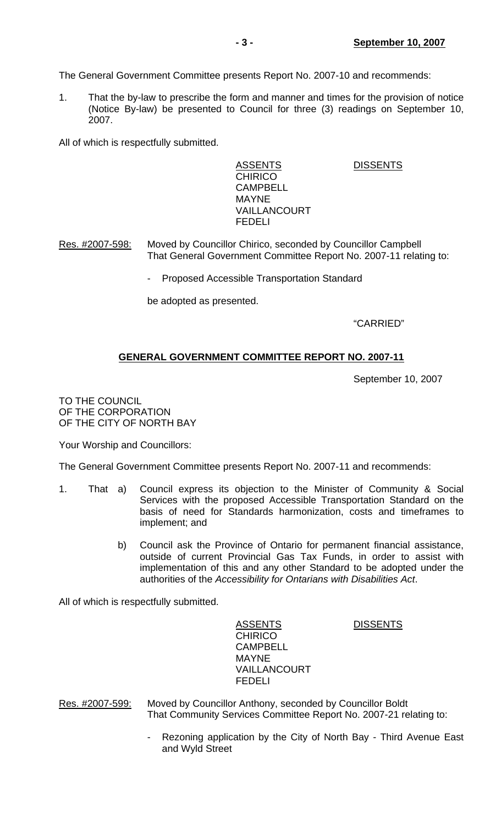The General Government Committee presents Report No. 2007-10 and recommends:

1. That the by-law to prescribe the form and manner and times for the provision of notice (Notice By-law) be presented to Council for three (3) readings on September 10, 2007.

All of which is respectfully submitted.

ASSENTS DISSENTS **CHIRICO**  CAMPBELL MAYNE VAILLANCOURT FEDELI

Res. #2007-598: Moved by Councillor Chirico, seconded by Councillor Campbell That General Government Committee Report No. 2007-11 relating to:

Proposed Accessible Transportation Standard

be adopted as presented.

"CARRIED"

# **GENERAL GOVERNMENT COMMITTEE REPORT NO. 2007-11**

September 10, 2007

TO THE COUNCIL OF THE CORPORATION OF THE CITY OF NORTH BAY

Your Worship and Councillors:

The General Government Committee presents Report No. 2007-11 and recommends:

- 1. That a) Council express its objection to the Minister of Community & Social Services with the proposed Accessible Transportation Standard on the basis of need for Standards harmonization, costs and timeframes to implement; and
	- b) Council ask the Province of Ontario for permanent financial assistance, outside of current Provincial Gas Tax Funds, in order to assist with implementation of this and any other Standard to be adopted under the authorities of the *Accessibility for Ontarians with Disabilities Act*.

All of which is respectfully submitted.

ASSENTS DISSENTS **CHIRICO**  CAMPBELL MAYNE VAILLANCOURT FEDELI

Res. #2007-599: Moved by Councillor Anthony, seconded by Councillor Boldt That Community Services Committee Report No. 2007-21 relating to:

> Rezoning application by the City of North Bay - Third Avenue East and Wyld Street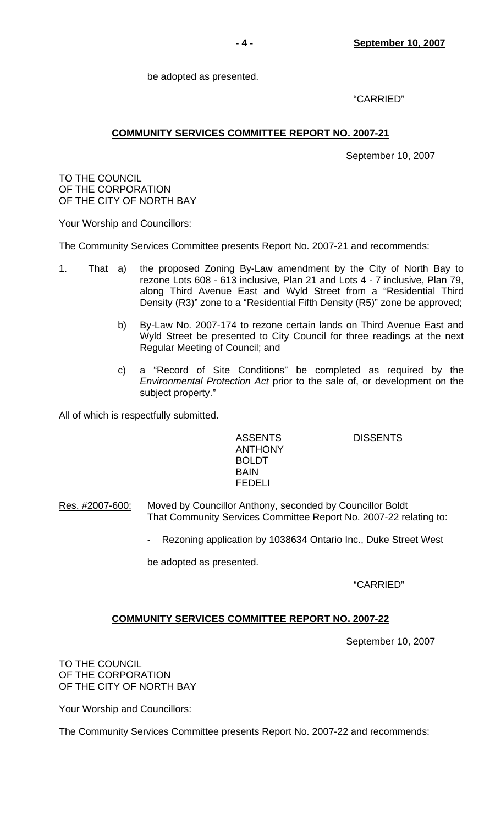be adopted as presented.

"CARRIED"

# **COMMUNITY SERVICES COMMITTEE REPORT NO. 2007-21**

September 10, 2007

TO THE COUNCIL OF THE CORPORATION OF THE CITY OF NORTH BAY

Your Worship and Councillors:

The Community Services Committee presents Report No. 2007-21 and recommends:

- 1. That a) the proposed Zoning By-Law amendment by the City of North Bay to rezone Lots 608 - 613 inclusive, Plan 21 and Lots 4 - 7 inclusive, Plan 79, along Third Avenue East and Wyld Street from a "Residential Third Density (R3)" zone to a "Residential Fifth Density (R5)" zone be approved;
	- b) By-Law No. 2007-174 to rezone certain lands on Third Avenue East and Wyld Street be presented to City Council for three readings at the next Regular Meeting of Council; and
	- c) a "Record of Site Conditions" be completed as required by the *Environmental Protection Act* prior to the sale of, or development on the subject property."

All of which is respectfully submitted.

 ANTHONY BOLDT<br>BAIN **BAIN** FEDELI

ASSENTS DISSENTS

Res. #2007-600: Moved by Councillor Anthony, seconded by Councillor Boldt That Community Services Committee Report No. 2007-22 relating to:

Rezoning application by 1038634 Ontario Inc., Duke Street West

be adopted as presented.

"CARRIED"

# **COMMUNITY SERVICES COMMITTEE REPORT NO. 2007-22**

September 10, 2007

TO THE COUNCIL OF THE CORPORATION OF THE CITY OF NORTH BAY

Your Worship and Councillors:

The Community Services Committee presents Report No. 2007-22 and recommends: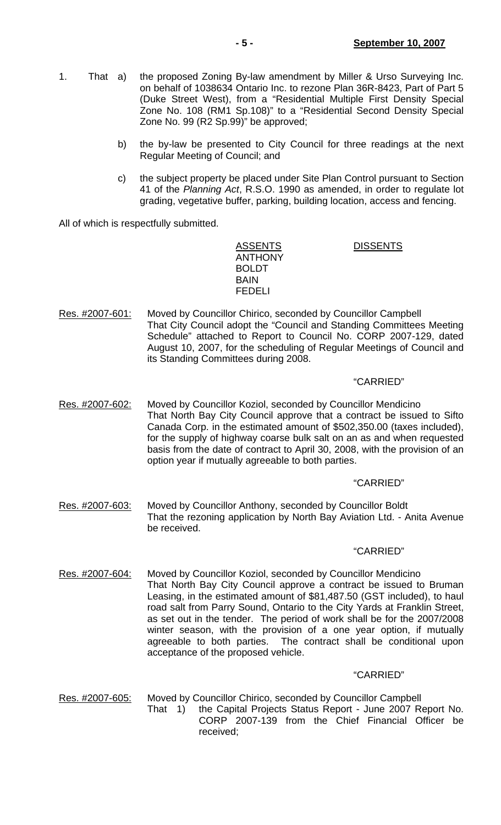- 1. That a) the proposed Zoning By-law amendment by Miller & Urso Surveying Inc. on behalf of 1038634 Ontario Inc. to rezone Plan 36R-8423, Part of Part 5 (Duke Street West), from a "Residential Multiple First Density Special Zone No. 108 (RM1 Sp.108)" to a "Residential Second Density Special Zone No. 99 (R2 Sp.99)" be approved;
	- b) the by-law be presented to City Council for three readings at the next Regular Meeting of Council; and
	- c) the subject property be placed under Site Plan Control pursuant to Section 41 of the *Planning Act*, R.S.O. 1990 as amended, in order to regulate lot grading, vegetative buffer, parking, building location, access and fencing.

All of which is respectfully submitted.

 ANTHONY BOLDT BAIN FEDELI

ASSENTS DISSENTS

Res. #2007-601: Moved by Councillor Chirico, seconded by Councillor Campbell That City Council adopt the "Council and Standing Committees Meeting Schedule" attached to Report to Council No. CORP 2007-129, dated August 10, 2007, for the scheduling of Regular Meetings of Council and its Standing Committees during 2008.

# "CARRIED"

Res. #2007-602: Moved by Councillor Koziol, seconded by Councillor Mendicino That North Bay City Council approve that a contract be issued to Sifto Canada Corp. in the estimated amount of \$502,350.00 (taxes included), for the supply of highway coarse bulk salt on an as and when requested basis from the date of contract to April 30, 2008, with the provision of an option year if mutually agreeable to both parties.

# "CARRIED"

Res. #2007-603: Moved by Councillor Anthony, seconded by Councillor Boldt That the rezoning application by North Bay Aviation Ltd. - Anita Avenue be received.

# "CARRIED"

Res. #2007-604: Moved by Councillor Koziol, seconded by Councillor Mendicino That North Bay City Council approve a contract be issued to Bruman Leasing, in the estimated amount of \$81,487.50 (GST included), to haul road salt from Parry Sound, Ontario to the City Yards at Franklin Street, as set out in the tender. The period of work shall be for the 2007/2008 winter season, with the provision of a one year option, if mutually agreeable to both parties. The contract shall be conditional upon acceptance of the proposed vehicle.

# "CARRIED"

Res. #2007-605: Moved by Councillor Chirico, seconded by Councillor Campbell That 1) the Capital Projects Status Report - June 2007 Report No. CORP 2007-139 from the Chief Financial Officer be received;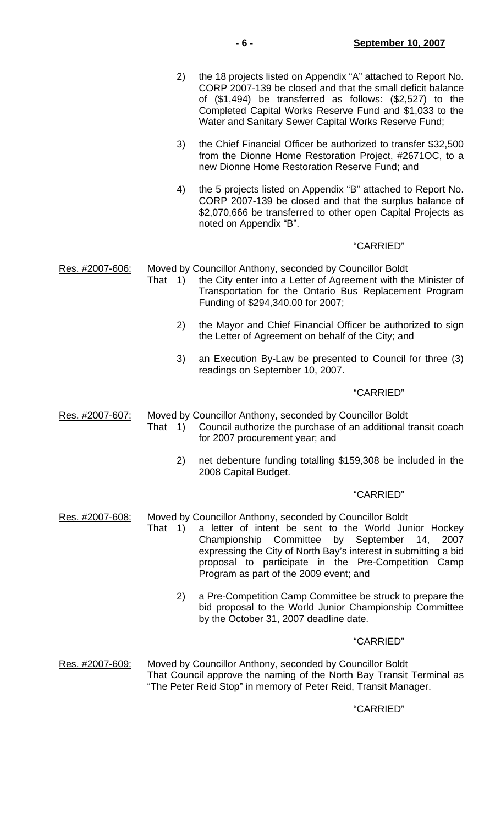| 2 <sup>1</sup> | the 18 projects listed on Appendix "A" attached to Report No. |
|----------------|---------------------------------------------------------------|
|                | CORP 2007-139 be closed and that the small deficit balance    |
|                | of $(\$1,494)$ be transferred as follows: $(\$2,527)$ to the  |
|                | Completed Capital Works Reserve Fund and \$1,033 to the       |
|                | Water and Sanitary Sewer Capital Works Reserve Fund;          |

- 3) the Chief Financial Officer be authorized to transfer \$32,500 from the Dionne Home Restoration Project, #2671OC, to a new Dionne Home Restoration Reserve Fund; and
- 4) the 5 projects listed on Appendix "B" attached to Report No. CORP 2007-139 be closed and that the surplus balance of \$2,070,666 be transferred to other open Capital Projects as noted on Appendix "B".

#### "CARRIED"

Res. #2007-606: Moved by Councillor Anthony, seconded by Councillor Boldt

- That 1) the City enter into a Letter of Agreement with the Minister of Transportation for the Ontario Bus Replacement Program Funding of \$294,340.00 for 2007;
	- 2) the Mayor and Chief Financial Officer be authorized to sign the Letter of Agreement on behalf of the City; and
	- 3) an Execution By-Law be presented to Council for three (3) readings on September 10, 2007.

## "CARRIED"

Res. #2007-607: Moved by Councillor Anthony, seconded by Councillor Boldt

- That 1) Council authorize the purchase of an additional transit coach for 2007 procurement year; and
	- 2) net debenture funding totalling \$159,308 be included in the 2008 Capital Budget.

#### "CARRIED"

- Res. #2007-608: Moved by Councillor Anthony, seconded by Councillor Boldt
	- That 1) a letter of intent be sent to the World Junior Hockey Championship Committee by September 14, 2007 expressing the City of North Bay's interest in submitting a bid proposal to participate in the Pre-Competition Camp Program as part of the 2009 event; and
		- 2) a Pre-Competition Camp Committee be struck to prepare the bid proposal to the World Junior Championship Committee by the October 31, 2007 deadline date.

#### "CARRIED"

Res. #2007-609: Moved by Councillor Anthony, seconded by Councillor Boldt That Council approve the naming of the North Bay Transit Terminal as "The Peter Reid Stop" in memory of Peter Reid, Transit Manager.

# "CARRIED"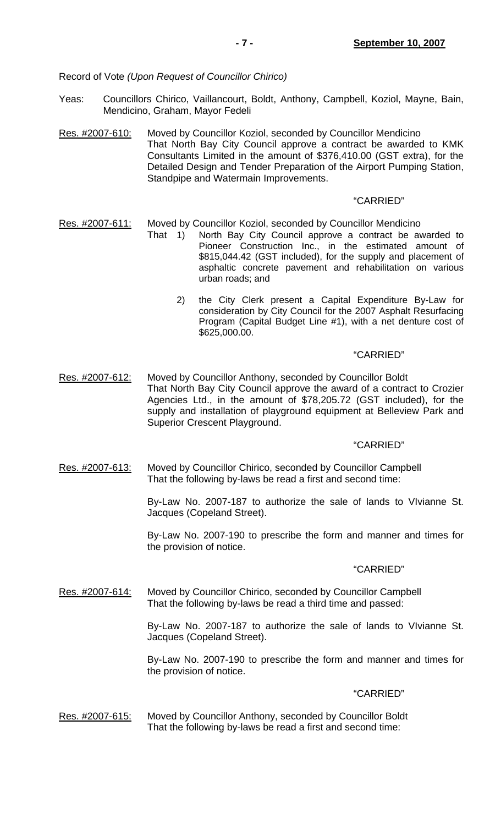Record of Vote *(Upon Request of Councillor Chirico)*

- Yeas: Councillors Chirico, Vaillancourt, Boldt, Anthony, Campbell, Koziol, Mayne, Bain, Mendicino, Graham, Mayor Fedeli
- Res. #2007-610: Moved by Councillor Koziol, seconded by Councillor Mendicino That North Bay City Council approve a contract be awarded to KMK Consultants Limited in the amount of \$376,410.00 (GST extra), for the Detailed Design and Tender Preparation of the Airport Pumping Station, Standpipe and Watermain Improvements.

# "CARRIED"

- Res. #2007-611: Moved by Councillor Koziol, seconded by Councillor Mendicino
	- That 1) North Bay City Council approve a contract be awarded to Pioneer Construction Inc., in the estimated amount of \$815,044.42 (GST included), for the supply and placement of asphaltic concrete pavement and rehabilitation on various urban roads; and
		- 2) the City Clerk present a Capital Expenditure By-Law for consideration by City Council for the 2007 Asphalt Resurfacing Program (Capital Budget Line #1), with a net denture cost of \$625,000.00.

## "CARRIED"

Res. #2007-612: Moved by Councillor Anthony, seconded by Councillor Boldt That North Bay City Council approve the award of a contract to Crozier Agencies Ltd., in the amount of \$78,205.72 (GST included), for the supply and installation of playground equipment at Belleview Park and Superior Crescent Playground.

# "CARRIED"

Res. #2007-613: Moved by Councillor Chirico, seconded by Councillor Campbell That the following by-laws be read a first and second time:

> By-Law No. 2007-187 to authorize the sale of lands to VIvianne St. Jacques (Copeland Street).

> By-Law No. 2007-190 to prescribe the form and manner and times for the provision of notice.

#### "CARRIED"

Res. #2007-614: Moved by Councillor Chirico, seconded by Councillor Campbell That the following by-laws be read a third time and passed:

> By-Law No. 2007-187 to authorize the sale of lands to VIvianne St. Jacques (Copeland Street).

> By-Law No. 2007-190 to prescribe the form and manner and times for the provision of notice.

#### "CARRIED"

Res. #2007-615: Moved by Councillor Anthony, seconded by Councillor Boldt That the following by-laws be read a first and second time: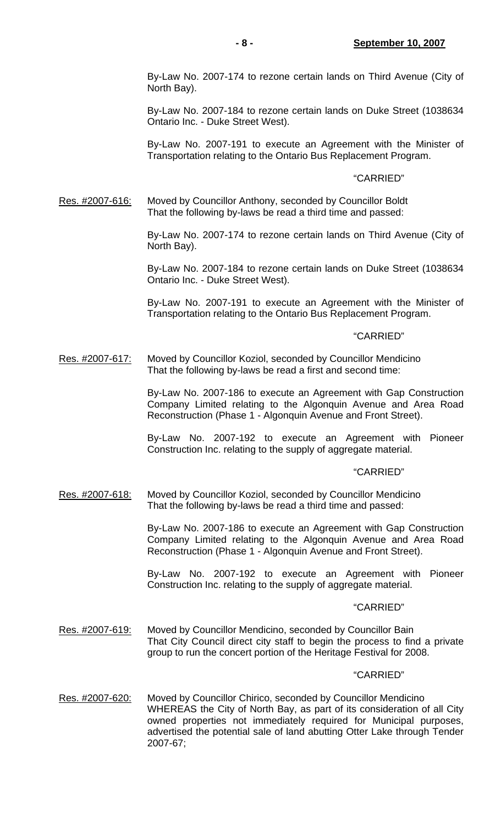By-Law No. 2007-174 to rezone certain lands on Third Avenue (City of North Bay).

 By-Law No. 2007-184 to rezone certain lands on Duke Street (1038634 Ontario Inc. - Duke Street West).

 By-Law No. 2007-191 to execute an Agreement with the Minister of Transportation relating to the Ontario Bus Replacement Program.

#### "CARRIED"

Res. #2007-616: Moved by Councillor Anthony, seconded by Councillor Boldt That the following by-laws be read a third time and passed:

> By-Law No. 2007-174 to rezone certain lands on Third Avenue (City of North Bay).

> By-Law No. 2007-184 to rezone certain lands on Duke Street (1038634 Ontario Inc. - Duke Street West).

> By-Law No. 2007-191 to execute an Agreement with the Minister of Transportation relating to the Ontario Bus Replacement Program.

# "CARRIED"

Res. #2007-617: Moved by Councillor Koziol, seconded by Councillor Mendicino That the following by-laws be read a first and second time:

> By-Law No. 2007-186 to execute an Agreement with Gap Construction Company Limited relating to the Algonquin Avenue and Area Road Reconstruction (Phase 1 - Algonquin Avenue and Front Street).

> By-Law No. 2007-192 to execute an Agreement with Pioneer Construction Inc. relating to the supply of aggregate material.

### "CARRIED"

Res. #2007-618: Moved by Councillor Koziol, seconded by Councillor Mendicino That the following by-laws be read a third time and passed:

> By-Law No. 2007-186 to execute an Agreement with Gap Construction Company Limited relating to the Algonquin Avenue and Area Road Reconstruction (Phase 1 - Algonquin Avenue and Front Street).

> By-Law No. 2007-192 to execute an Agreement with Pioneer Construction Inc. relating to the supply of aggregate material.

#### "CARRIED"

Res. #2007-619: Moved by Councillor Mendicino, seconded by Councillor Bain That City Council direct city staff to begin the process to find a private group to run the concert portion of the Heritage Festival for 2008.

#### "CARRIED"

Res. #2007-620: Moved by Councillor Chirico, seconded by Councillor Mendicino WHEREAS the City of North Bay, as part of its consideration of all City owned properties not immediately required for Municipal purposes, advertised the potential sale of land abutting Otter Lake through Tender 2007-67;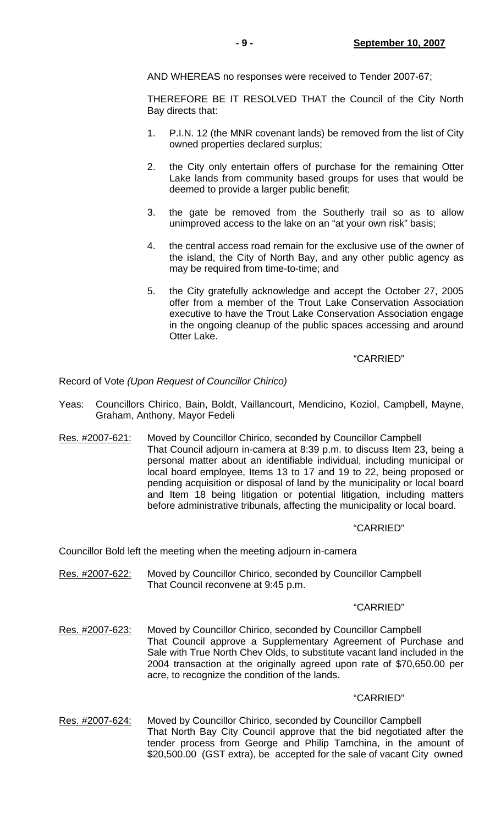AND WHEREAS no responses were received to Tender 2007-67;

 THEREFORE BE IT RESOLVED THAT the Council of the City North Bay directs that:

- 1. P.I.N. 12 (the MNR covenant lands) be removed from the list of City owned properties declared surplus;
- 2. the City only entertain offers of purchase for the remaining Otter Lake lands from community based groups for uses that would be deemed to provide a larger public benefit;
- 3. the gate be removed from the Southerly trail so as to allow unimproved access to the lake on an "at your own risk" basis;
- 4. the central access road remain for the exclusive use of the owner of the island, the City of North Bay, and any other public agency as may be required from time-to-time; and
- 5. the City gratefully acknowledge and accept the October 27, 2005 offer from a member of the Trout Lake Conservation Association executive to have the Trout Lake Conservation Association engage in the ongoing cleanup of the public spaces accessing and around Otter Lake.

# "CARRIED"

Record of Vote *(Upon Request of Councillor Chirico)*

- Yeas: Councillors Chirico, Bain, Boldt, Vaillancourt, Mendicino, Koziol, Campbell, Mayne, Graham, Anthony, Mayor Fedeli
- Res. #2007-621: Moved by Councillor Chirico, seconded by Councillor Campbell That Council adjourn in-camera at 8:39 p.m. to discuss Item 23, being a personal matter about an identifiable individual, including municipal or local board employee, Items 13 to 17 and 19 to 22, being proposed or pending acquisition or disposal of land by the municipality or local board and Item 18 being litigation or potential litigation, including matters before administrative tribunals, affecting the municipality or local board.

# "CARRIED"

Councillor Bold left the meeting when the meeting adjourn in-camera

Res. #2007-622: Moved by Councillor Chirico, seconded by Councillor Campbell That Council reconvene at 9:45 p.m.

#### "CARRIED"

Res. #2007-623: Moved by Councillor Chirico, seconded by Councillor Campbell That Council approve a Supplementary Agreement of Purchase and Sale with True North Chev Olds, to substitute vacant land included in the 2004 transaction at the originally agreed upon rate of \$70,650.00 per acre, to recognize the condition of the lands.

## "CARRIED"

Res. #2007-624: Moved by Councillor Chirico, seconded by Councillor Campbell That North Bay City Council approve that the bid negotiated after the tender process from George and Philip Tamchina, in the amount of \$20,500.00 (GST extra), be accepted for the sale of vacant City owned